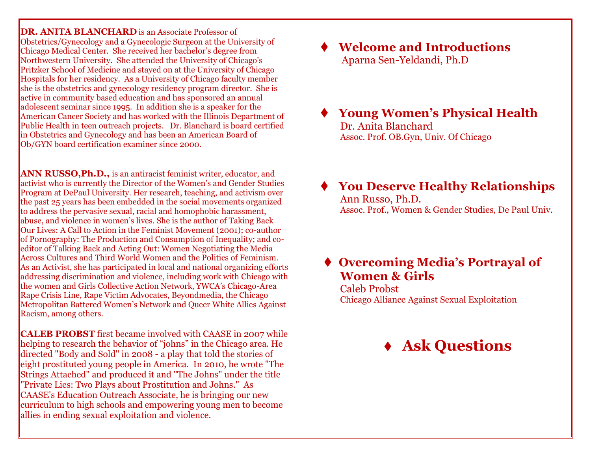**DR. ANITA BLANCHARD** is an Associate Professor of Obstetrics/Gynecology and a Gynecologic Surgeon at the University of Chicago Medical Center. She received her bachelor's degree from Northwestern University. She attended the University of Chicago's Pritzker School of Medicine and stayed on at the University of Chicago Hospitals for her residency. As a University of Chicago faculty member she is the obstetrics and gynecology residency program director. She is active in community based education and has sponsored an annual adolescent seminar since 1995. In addition she is a speaker for the American Cancer Society and has worked with the Illinois Department of Public Health in teen outreach projects. Dr. Blanchard is board certified in Obstetrics and Gynecology and has been an American Board of Ob/GYN board certification examiner since 2000.

**ANN RUSSO,Ph.D.,** is an antiracist feminist writer, educator, and activist who is currently the Director of the Women's and Gender Studies Program at DePaul University. Her research, teaching, and activism over the past 25 years has been embedded in the social movements organized to address the pervasive sexual, racial and homophobic harassment, abuse, and violence in women's lives. She is the author of Taking Back Our Lives: A Call to Action in the Feminist Movement (2001); co-author of Pornography: The Production and Consumption of Inequality; and coeditor of Talking Back and Acting Out: Women Negotiating the Media Across Cultures and Third World Women and the Politics of Feminism. As an Activist, she has participated in local and national organizing efforts addressing discrimination and violence, including work with Chicago with the women and Girls Collective Action Network, YWCA's Chicago-Area Rape Crisis Line, Rape Victim Advocates, Beyondmedia, the Chicago Metropolitan Battered Women's Network and Queer White Allies Against Racism, among others.

**CALEB PROBST** first became involved with CAASE in 2007 while helping to research the behavior of "johns" in the Chicago area. He directed "Body and Sold" in 2008 - a play that told the stories of eight prostituted young people in America. In 2010, he wrote "The Strings Attached" and produced it and "The Johns" under the title "Private Lies: Two Plays about Prostitution and Johns." As CAASE's Education Outreach Associate, he is bringing our new curriculum to high schools and empowering young men to become allies in ending sexual exploitation and violence.

 **Welcome and Introductions** Aparna Sen-Yeldandi, Ph.D

 **Young Women's Physical Health** Dr. Anita Blanchard Assoc. Prof. OB.Gyn, Univ. Of Chicago

 **You Deserve Healthy Relationships** Ann Russo, Ph.D. Assoc. Prof., Women & Gender Studies, De Paul Univ.

### **Overcoming Media's Portrayal of Women & Girls**

Caleb Probst Chicago Alliance Against Sexual Exploitation

## **Ask Questions**